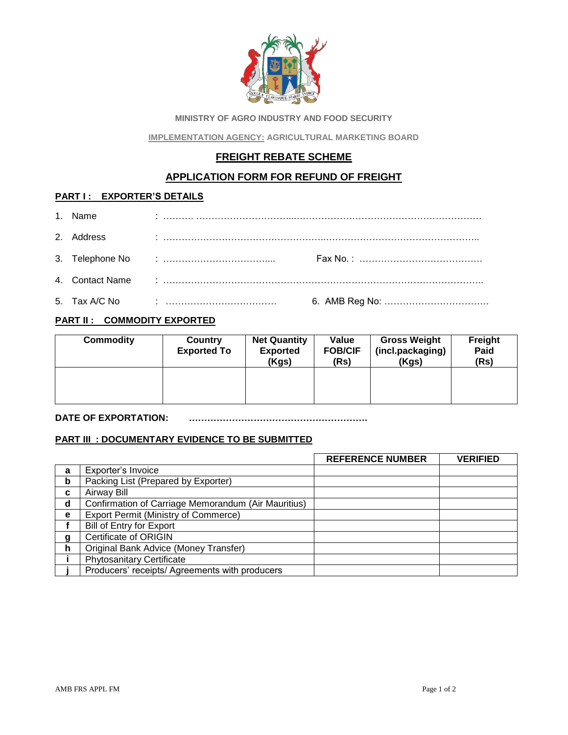

**MINISTRY OF AGRO INDUSTRY AND FOOD SECURITY** 

**IMPLEMENTATION AGENCY: AGRICULTURAL MARKETING BOARD**

# **FREIGHT REBATE SCHEME**

## **APPLICATION FORM FOR REFUND OF FREIGHT**

### **PART I : EXPORTER'S DETAILS**

| 1. Name    |  |
|------------|--|
| 2. Address |  |
|            |  |
|            |  |
|            |  |

## **PART II : COMMODITY EXPORTED**

| <b>Commodity</b> | Country<br><b>Exported To</b> | <b>Net Quantity</b><br><b>Exported</b><br>(Kgs) | Value<br><b>FOB/CIF</b><br>(Rs) | <b>Gross Weight</b><br>(incl.packaging)<br>(Kgs) | Freight<br>Paid<br>(Rs) |
|------------------|-------------------------------|-------------------------------------------------|---------------------------------|--------------------------------------------------|-------------------------|
|                  |                               |                                                 |                                 |                                                  |                         |

#### **DATE OF EXPORTATION: ………………………………………………….**

### **PART III : DOCUMENTARY EVIDENCE TO BE SUBMITTED**

|   |                                                     | <b>REFERENCE NUMBER</b> | <b>VERIFIED</b> |
|---|-----------------------------------------------------|-------------------------|-----------------|
| a | Exporter's Invoice                                  |                         |                 |
| b | Packing List (Prepared by Exporter)                 |                         |                 |
| C | <b>Airway Bill</b>                                  |                         |                 |
| d | Confirmation of Carriage Memorandum (Air Mauritius) |                         |                 |
| e | Export Permit (Ministry of Commerce)                |                         |                 |
|   | Bill of Entry for Export                            |                         |                 |
| g | <b>Certificate of ORIGIN</b>                        |                         |                 |
| h | Original Bank Advice (Money Transfer)               |                         |                 |
|   | <b>Phytosanitary Certificate</b>                    |                         |                 |
|   | Producers' receipts/ Agreements with producers      |                         |                 |